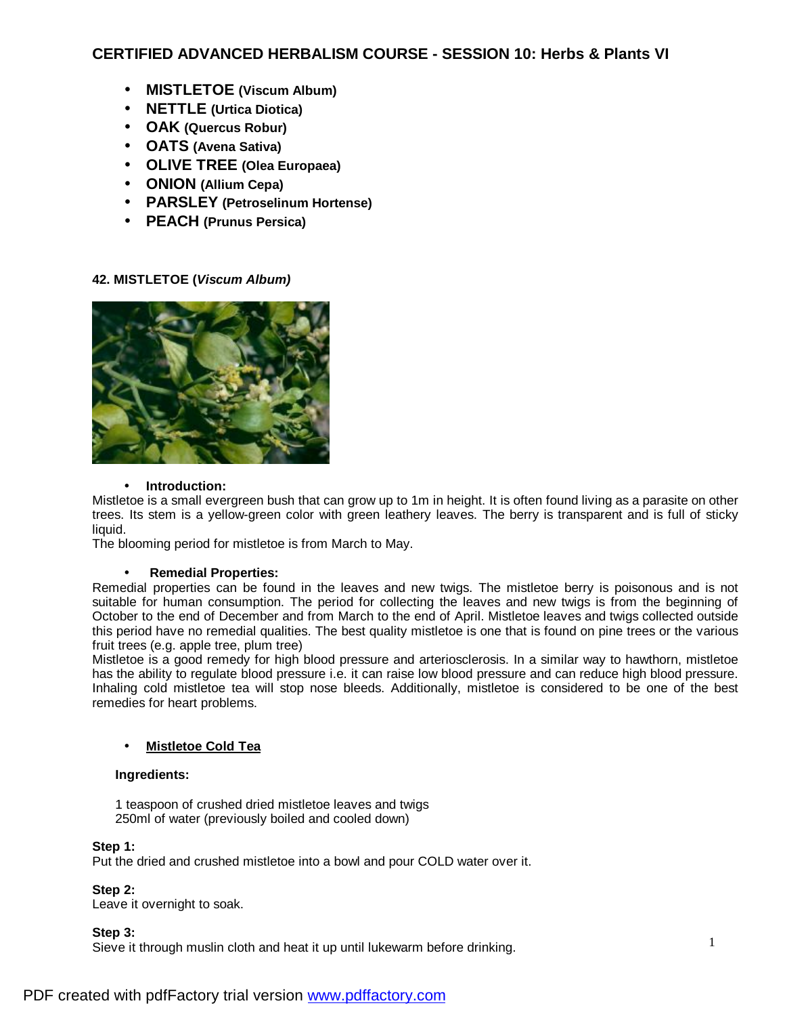# **CERTIFIED ADVANCED HERBALISM COURSE - SESSION 10: Herbs & Plants VI**

- **MISTLETOE (Viscum Album)**
- **NETTLE (Urtica Diotica)**
- **OAK (Quercus Robur)**
- **OATS (Avena Sativa)**
- **OLIVE TREE (Olea Europaea)**
- **ONION (Allium Cepa)**
- **PARSLEY (Petroselinum Hortense)**
- **PEACH (Prunus Persica)**

# **42. MISTLETOE (***Viscum Album)*



#### • **Introduction:**

Mistletoe is a small evergreen bush that can grow up to 1m in height. It is often found living as a parasite on other trees. Its stem is a yellow-green color with green leathery leaves. The berry is transparent and is full of sticky liquid.

The blooming period for mistletoe is from March to May.

#### • **Remedial Properties:**

Remedial properties can be found in the leaves and new twigs. The mistletoe berry is poisonous and is not suitable for human consumption. The period for collecting the leaves and new twigs is from the beginning of October to the end of December and from March to the end of April. Mistletoe leaves and twigs collected outside this period have no remedial qualities. The best quality mistletoe is one that is found on pine trees or the various fruit trees (e.g. apple tree, plum tree)

Mistletoe is a good remedy for high blood pressure and arteriosclerosis. In a similar way to hawthorn, mistletoe has the ability to regulate blood pressure i.e. it can raise low blood pressure and can reduce high blood pressure. Inhaling cold mistletoe tea will stop nose bleeds. Additionally, mistletoe is considered to be one of the best remedies for heart problems.

# • **Mistletoe Cold Tea**

#### **Ingredients:**

1 teaspoon of crushed dried mistletoe leaves and twigs 250ml of water (previously boiled and cooled down)

#### **Step 1:**

Put the dried and crushed mistletoe into a bowl and pour COLD water over it.

**Step 2:** 

Leave it overnight to soak.

# **Step 3:**

Sieve it through muslin cloth and heat it up until lukewarm before drinking.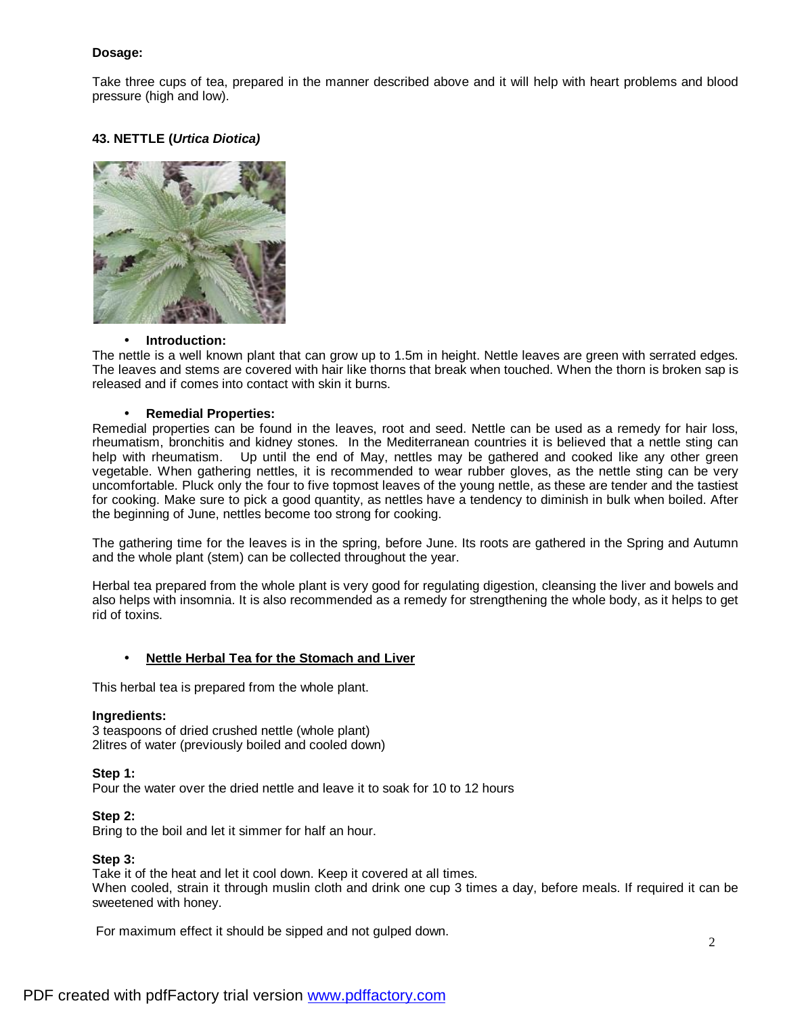### **Dosage:**

Take three cups of tea, prepared in the manner described above and it will help with heart problems and blood pressure (high and low).

# **43. NETTLE (***Urtica Diotica)*



#### • **Introduction:**

The nettle is a well known plant that can grow up to 1.5m in height. Nettle leaves are green with serrated edges. The leaves and stems are covered with hair like thorns that break when touched. When the thorn is broken sap is released and if comes into contact with skin it burns.

#### • **Remedial Properties:**

Remedial properties can be found in the leaves, root and seed. Nettle can be used as a remedy for hair loss, rheumatism, bronchitis and kidney stones. In the Mediterranean countries it is believed that a nettle sting can help with rheumatism. Up until the end of May, nettles may be gathered and cooked like any other green vegetable. When gathering nettles, it is recommended to wear rubber gloves, as the nettle sting can be very uncomfortable. Pluck only the four to five topmost leaves of the young nettle, as these are tender and the tastiest for cooking. Make sure to pick a good quantity, as nettles have a tendency to diminish in bulk when boiled. After the beginning of June, nettles become too strong for cooking.

The gathering time for the leaves is in the spring, before June. Its roots are gathered in the Spring and Autumn and the whole plant (stem) can be collected throughout the year.

Herbal tea prepared from the whole plant is very good for regulating digestion, cleansing the liver and bowels and also helps with insomnia. It is also recommended as a remedy for strengthening the whole body, as it helps to get rid of toxins.

#### • **Nettle Herbal Tea for the Stomach and Liver**

This herbal tea is prepared from the whole plant.

#### **Ingredients:**

3 teaspoons of dried crushed nettle (whole plant) 2litres of water (previously boiled and cooled down)

#### **Step 1:**

Pour the water over the dried nettle and leave it to soak for 10 to 12 hours

#### **Step 2:**

Bring to the boil and let it simmer for half an hour.

#### **Step 3:**

Take it of the heat and let it cool down. Keep it covered at all times. When cooled, strain it through muslin cloth and drink one cup 3 times a day, before meals. If required it can be sweetened with honey.

For maximum effect it should be sipped and not gulped down.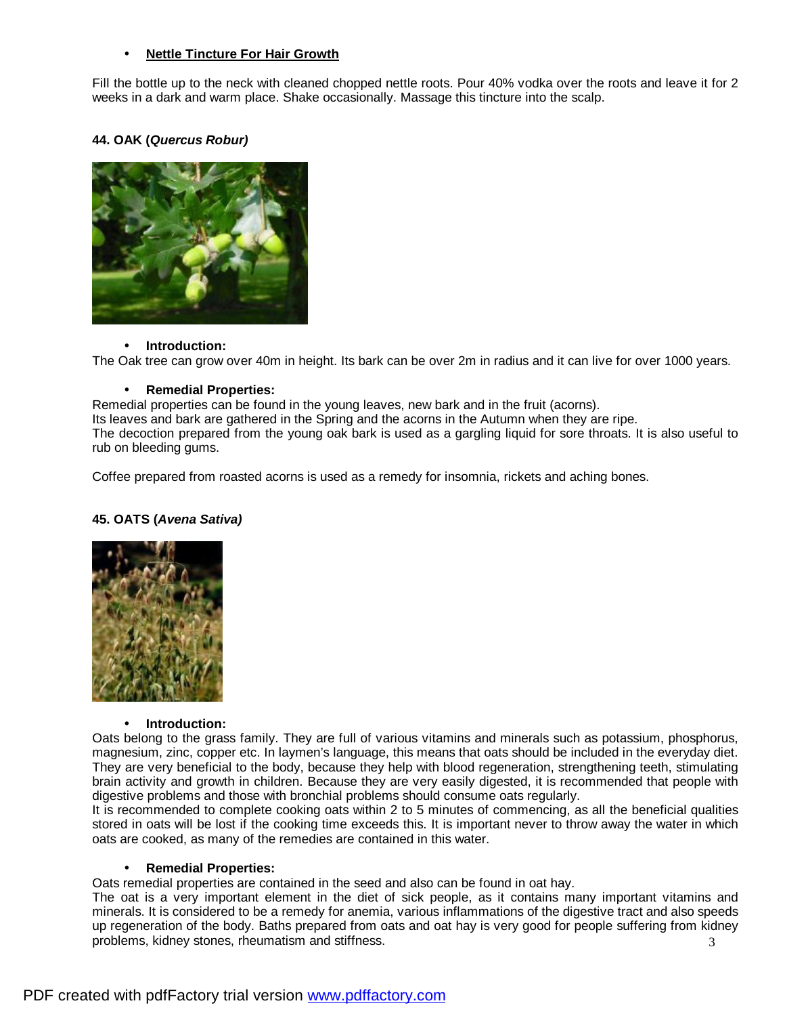### • **Nettle Tincture For Hair Growth**

Fill the bottle up to the neck with cleaned chopped nettle roots. Pour 40% vodka over the roots and leave it for 2 weeks in a dark and warm place. Shake occasionally. Massage this tincture into the scalp.

### **44. OAK (***Quercus Robur)*



#### • **Introduction:**

The Oak tree can grow over 40m in height. Its bark can be over 2m in radius and it can live for over 1000 years.

#### • **Remedial Properties:**

Remedial properties can be found in the young leaves, new bark and in the fruit (acorns).

Its leaves and bark are gathered in the Spring and the acorns in the Autumn when they are ripe.

The decoction prepared from the young oak bark is used as a gargling liquid for sore throats. It is also useful to rub on bleeding gums.

Coffee prepared from roasted acorns is used as a remedy for insomnia, rickets and aching bones.

#### **45. OATS (***Avena Sativa)*



#### • **Introduction:**

Oats belong to the grass family. They are full of various vitamins and minerals such as potassium, phosphorus, magnesium, zinc, copper etc. In laymen's language, this means that oats should be included in the everyday diet. They are very beneficial to the body, because they help with blood regeneration, strengthening teeth, stimulating brain activity and growth in children. Because they are very easily digested, it is recommended that people with digestive problems and those with bronchial problems should consume oats regularly.

It is recommended to complete cooking oats within 2 to 5 minutes of commencing, as all the beneficial qualities stored in oats will be lost if the cooking time exceeds this. It is important never to throw away the water in which oats are cooked, as many of the remedies are contained in this water.

#### • **Remedial Properties:**

Oats remedial properties are contained in the seed and also can be found in oat hay.

3 The oat is a very important element in the diet of sick people, as it contains many important vitamins and minerals. It is considered to be a remedy for anemia, various inflammations of the digestive tract and also speeds up regeneration of the body. Baths prepared from oats and oat hay is very good for people suffering from kidney problems, kidney stones, rheumatism and stiffness.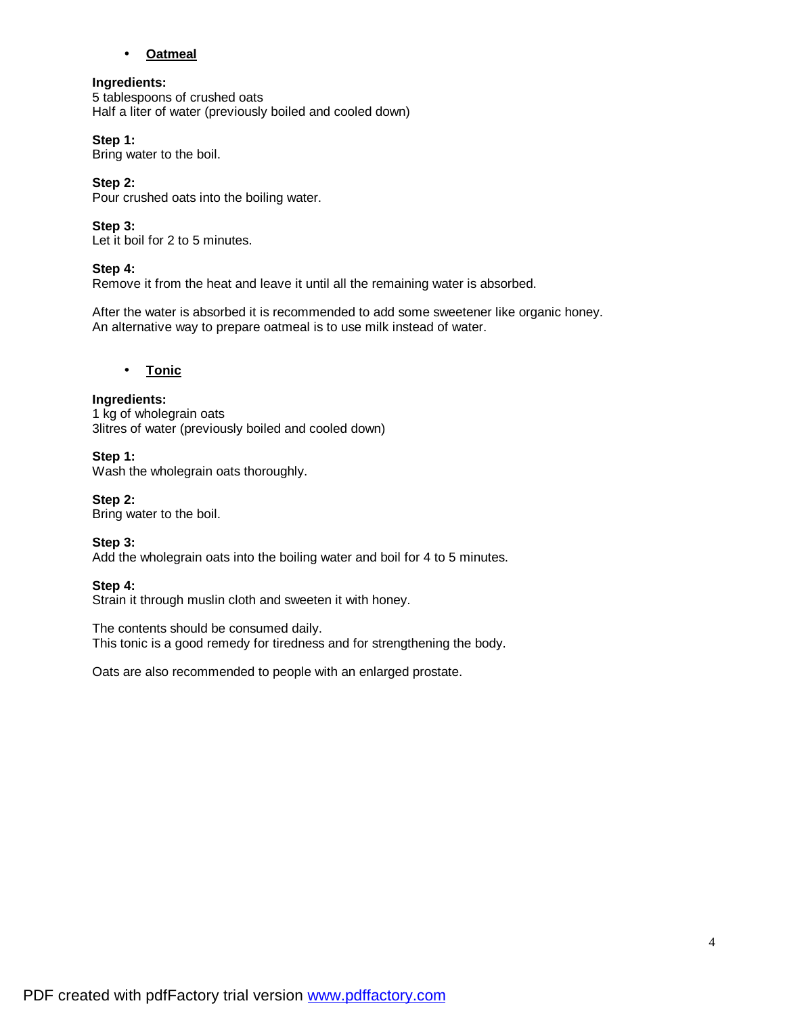### • **Oatmeal**

### **Ingredients:**

5 tablespoons of crushed oats Half a liter of water (previously boiled and cooled down)

### **Step 1:**

Bring water to the boil.

# **Step 2:**

Pour crushed oats into the boiling water.

# **Step 3:**

Let it boil for 2 to 5 minutes.

# **Step 4:**

Remove it from the heat and leave it until all the remaining water is absorbed.

After the water is absorbed it is recommended to add some sweetener like organic honey. An alternative way to prepare oatmeal is to use milk instead of water.

# • **Tonic**

# **Ingredients:**

1 kg of wholegrain oats 3litres of water (previously boiled and cooled down)

# **Step 1:**

Wash the wholegrain oats thoroughly.

**Step 2:**  Bring water to the boil.

**Step 3:**  Add the wholegrain oats into the boiling water and boil for 4 to 5 minutes.

# **Step 4:**

Strain it through muslin cloth and sweeten it with honey.

The contents should be consumed daily. This tonic is a good remedy for tiredness and for strengthening the body.

Oats are also recommended to people with an enlarged prostate.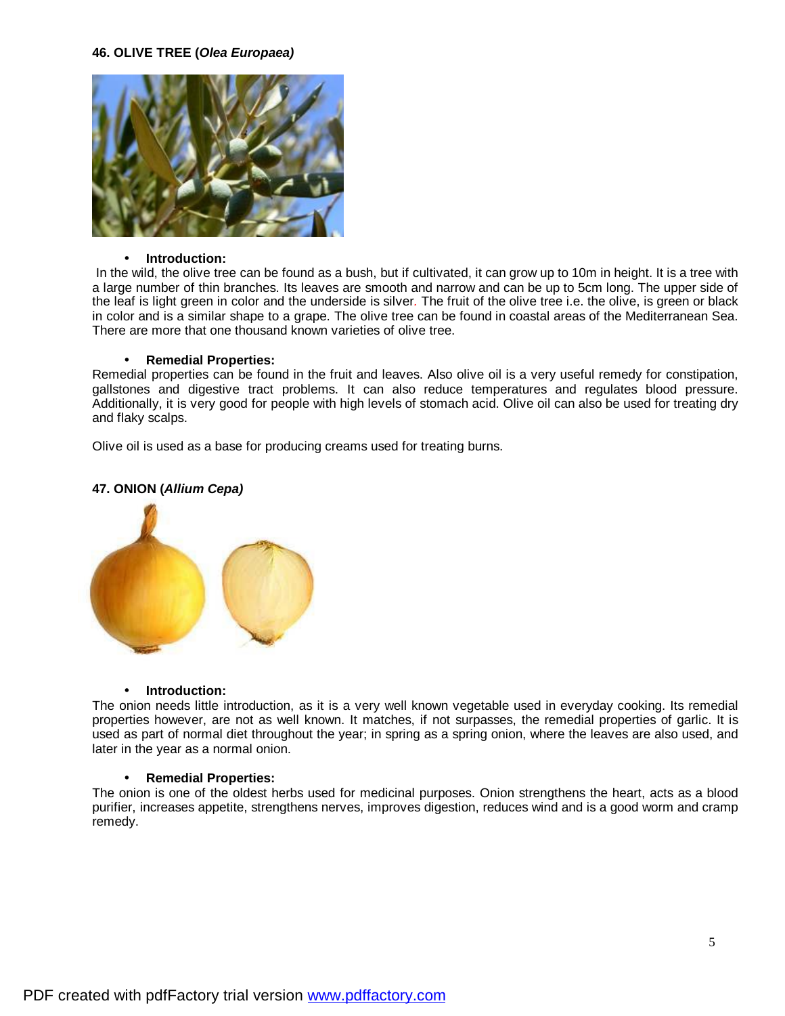

#### • **Introduction:**

In the wild, the olive tree can be found as a bush, but if cultivated, it can grow up to 10m in height. It is a tree with a large number of thin branches. Its leaves are smooth and narrow and can be up to 5cm long. The upper side of the leaf is light green in color and the underside is silver*.* The fruit of the olive tree i.e. the olive, is green or black in color and is a similar shape to a grape. The olive tree can be found in coastal areas of the Mediterranean Sea. There are more that one thousand known varieties of olive tree.

#### • **Remedial Properties:**

Remedial properties can be found in the fruit and leaves. Also olive oil is a very useful remedy for constipation, gallstones and digestive tract problems. It can also reduce temperatures and regulates blood pressure. Additionally, it is very good for people with high levels of stomach acid. Olive oil can also be used for treating dry and flaky scalps.

Olive oil is used as a base for producing creams used for treating burns.

# **47. ONION (***Allium Cepa)*



#### • **Introduction:**

The onion needs little introduction, as it is a very well known vegetable used in everyday cooking. Its remedial properties however, are not as well known. It matches, if not surpasses, the remedial properties of garlic. It is used as part of normal diet throughout the year; in spring as a spring onion, where the leaves are also used, and later in the year as a normal onion.

#### • **Remedial Properties:**

The onion is one of the oldest herbs used for medicinal purposes. Onion strengthens the heart, acts as a blood purifier, increases appetite, strengthens nerves, improves digestion, reduces wind and is a good worm and cramp remedy.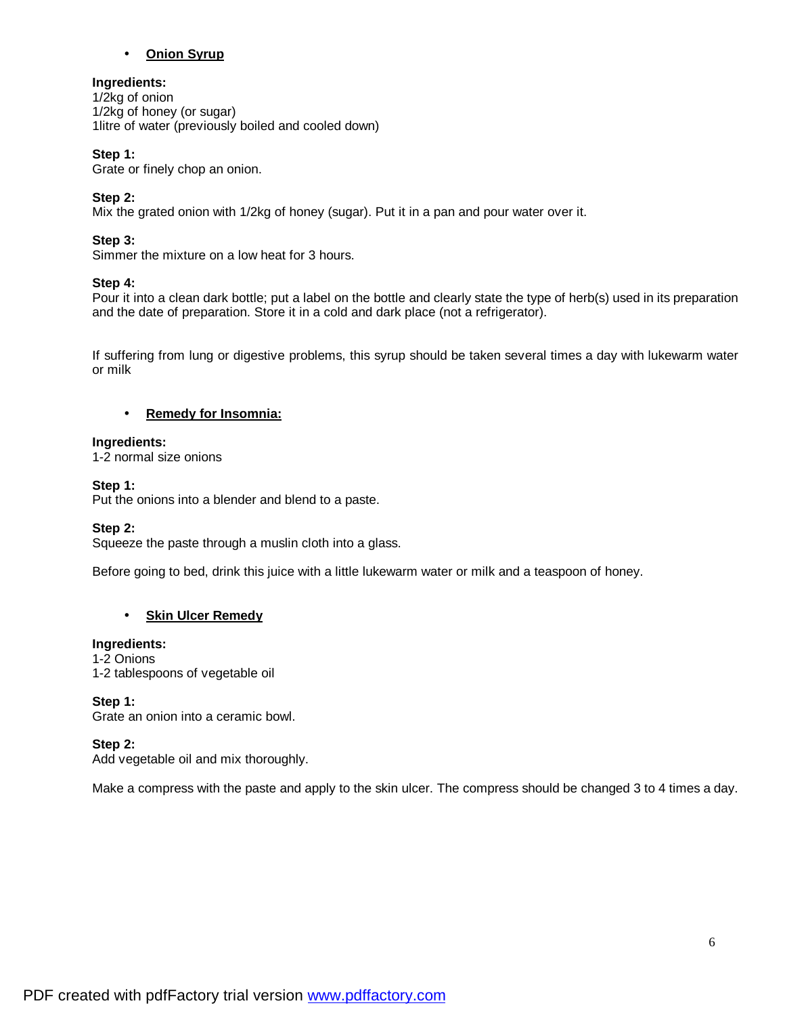### • **Onion Syrup**

### **Ingredients:**

1/2kg of onion 1/2kg of honey (or sugar) 1litre of water (previously boiled and cooled down)

### **Step 1:**

Grate or finely chop an onion.

### **Step 2:**

Mix the grated onion with 1/2kg of honey (sugar). Put it in a pan and pour water over it.

# **Step 3:**

Simmer the mixture on a low heat for 3 hours.

### **Step 4:**

Pour it into a clean dark bottle; put a label on the bottle and clearly state the type of herb(s) used in its preparation and the date of preparation. Store it in a cold and dark place (not a refrigerator).

If suffering from lung or digestive problems, this syrup should be taken several times a day with lukewarm water or milk

### • **Remedy for Insomnia:**

#### **Ingredients:**

1-2 normal size onions

#### **Step 1:**

Put the onions into a blender and blend to a paste.

#### **Step 2:**

Squeeze the paste through a muslin cloth into a glass.

Before going to bed, drink this juice with a little lukewarm water or milk and a teaspoon of honey.

# • **Skin Ulcer Remedy**

#### **Ingredients:**

1-2 Onions 1-2 tablespoons of vegetable oil

#### **Step 1:**

Grate an onion into a ceramic bowl.

#### **Step 2:**

Add vegetable oil and mix thoroughly.

Make a compress with the paste and apply to the skin ulcer. The compress should be changed 3 to 4 times a day.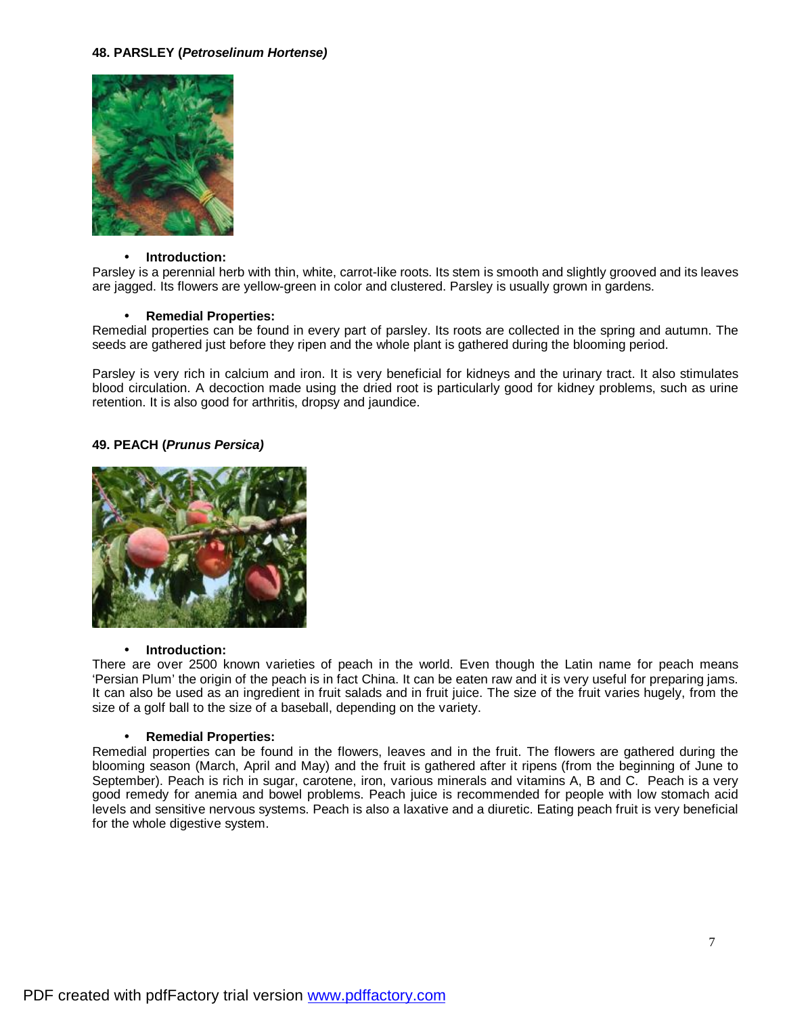#### **48. PARSLEY (***Petroselinum Hortense)*



#### • **Introduction:**

Parsley is a perennial herb with thin, white, carrot-like roots. Its stem is smooth and slightly grooved and its leaves are jagged. Its flowers are yellow-green in color and clustered. Parsley is usually grown in gardens.

#### • **Remedial Properties:**

Remedial properties can be found in every part of parsley. Its roots are collected in the spring and autumn. The seeds are gathered just before they ripen and the whole plant is gathered during the blooming period.

Parsley is very rich in calcium and iron. It is very beneficial for kidneys and the urinary tract. It also stimulates blood circulation. A decoction made using the dried root is particularly good for kidney problems, such as urine retention. It is also good for arthritis, dropsy and jaundice.

#### **49. PEACH (***Prunus Persica)*



#### • **Introduction:**

There are over 2500 known varieties of peach in the world. Even though the Latin name for peach means 'Persian Plum' the origin of the peach is in fact China. It can be eaten raw and it is very useful for preparing jams. It can also be used as an ingredient in fruit salads and in fruit juice. The size of the fruit varies hugely, from the size of a golf ball to the size of a baseball, depending on the variety.

#### • **Remedial Properties:**

Remedial properties can be found in the flowers, leaves and in the fruit. The flowers are gathered during the blooming season (March, April and May) and the fruit is gathered after it ripens (from the beginning of June to September). Peach is rich in sugar, carotene, iron, various minerals and vitamins A, B and C. Peach is a very good remedy for anemia and bowel problems. Peach juice is recommended for people with low stomach acid levels and sensitive nervous systems. Peach is also a laxative and a diuretic. Eating peach fruit is very beneficial for the whole digestive system.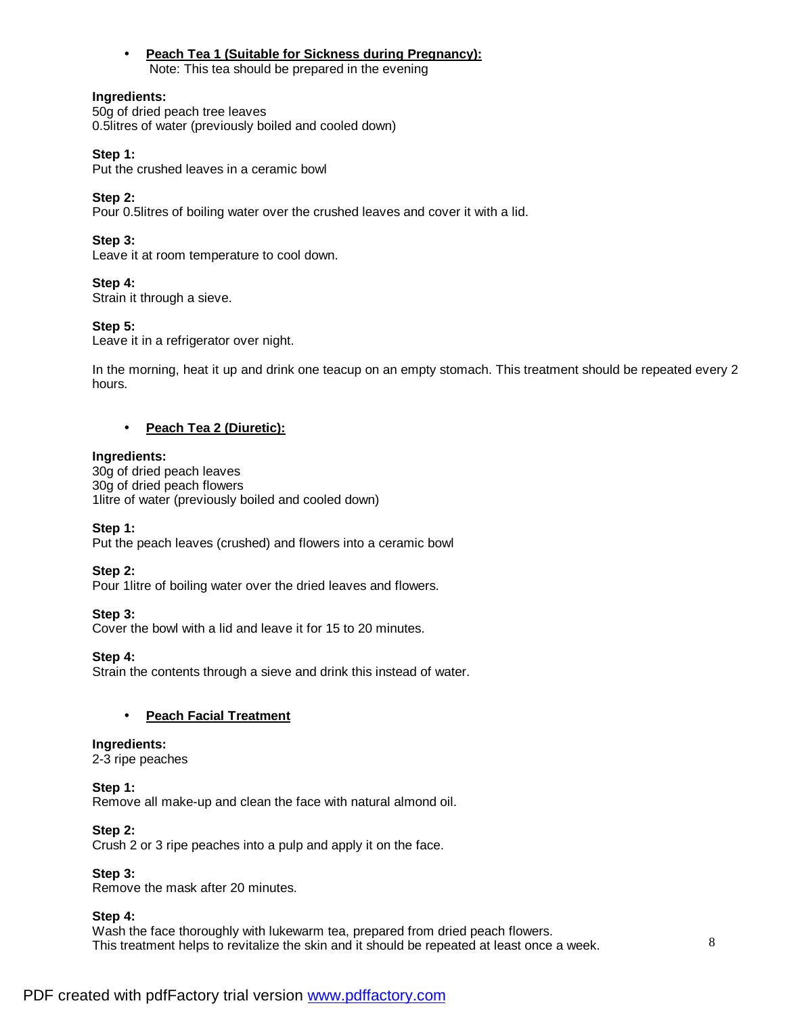• **Peach Tea 1 (Suitable for Sickness during Pregnancy):** Note: This tea should be prepared in the evening

### **Ingredients:**

50g of dried peach tree leaves 0.5litres of water (previously boiled and cooled down)

### **Step 1:**

Put the crushed leaves in a ceramic bowl

# **Step 2:**

Pour 0.5litres of boiling water over the crushed leaves and cover it with a lid.

# **Step 3:**

Leave it at room temperature to cool down.

# **Step 4:**

Strain it through a sieve.

# **Step 5:**

Leave it in a refrigerator over night.

In the morning, heat it up and drink one teacup on an empty stomach. This treatment should be repeated every 2 hours.

# • **Peach Tea 2 (Diuretic):**

# **Ingredients:**

30g of dried peach leaves 30g of dried peach flowers 1litre of water (previously boiled and cooled down)

# **Step 1:**

Put the peach leaves (crushed) and flowers into a ceramic bowl

# **Step 2:**

Pour 1litre of boiling water over the dried leaves and flowers.

# **Step 3:**

Cover the bowl with a lid and leave it for 15 to 20 minutes.

# **Step 4:**

Strain the contents through a sieve and drink this instead of water.

# • **Peach Facial Treatment**

# **Ingredients:**

2-3 ripe peaches

# **Step 1:**

Remove all make-up and clean the face with natural almond oil.

#### **Step 2:**

Crush 2 or 3 ripe peaches into a pulp and apply it on the face.

# **Step 3:**

Remove the mask after 20 minutes.

# **Step 4:**

Wash the face thoroughly with lukewarm tea, prepared from dried peach flowers. This treatment helps to revitalize the skin and it should be repeated at least once a week.